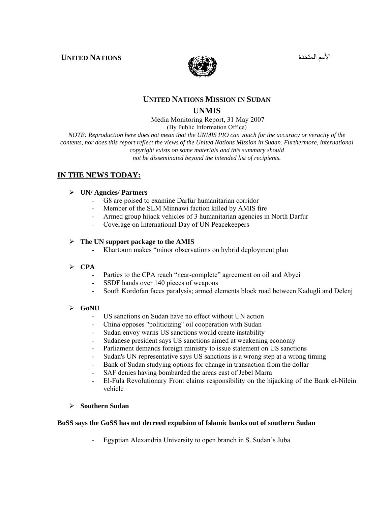الأمم المتحدة **NATIONS UNITED**



#### **UNITED NATIONS MISSION IN SUDAN**

#### **UNMIS**

Media Monitoring Report, 31 May 2007

(By Public Information Office)

*NOTE: Reproduction here does not mean that the UNMIS PIO can vouch for the accuracy or veracity of the contents, nor does this report reflect the views of the United Nations Mission in Sudan. Furthermore, international copyright exists on some materials and this summary should not be disseminated beyond the intended list of recipients.* 

#### **IN THE NEWS TODAY:**

#### ¾ **UN/ Agncies/ Partners**

- G8 are poised to examine Darfur humanitarian corridor
- Member of the SLM Minnawi faction killed by AMIS fire
- Armed group hijack vehicles of 3 humanitarian agencies in North Darfur
- Coverage on International Day of UN Peacekeepers

#### ¾ **The UN support package to the AMIS**

- Khartoum makes "minor observations on hybrid deployment plan

#### ¾ **CPA**

- Parties to the CPA reach "near-complete" agreement on oil and Abyei
- SSDF hands over 140 pieces of weapons
- South Kordofan faces paralysis; armed elements block road between Kadugli and Delenj

#### ¾ **GoNU**

- US sanctions on Sudan have no effect without UN action
- China opposes "politicizing" oil cooperation with Sudan
- Sudan envoy warns US sanctions would create instability
- Sudanese president says US sanctions aimed at weakening economy
- Parliament demands foreign ministry to issue statement on US sanctions
- Sudan's UN representative says US sanctions is a wrong step at a wrong timing
- Bank of Sudan studying options for change in transaction from the dollar
- SAF denies having bombarded the areas east of Jebel Marra
- El-Fula Revolutionary Front claims responsibility on the hijacking of the Bank el-Nilein vehicle

#### ¾ **Southern Sudan**

#### **BoSS says the GoSS has not decreed expulsion of Islamic banks out of southern Sudan**

- Egyptian Alexandria University to open branch in S. Sudan's Juba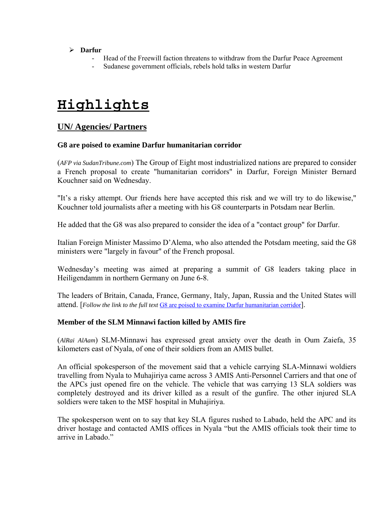#### ¾ **Darfur**

- Head of the Freewill faction threatens to withdraw from the Darfur Peace Agreement
- Sudanese government officials, rebels hold talks in western Darfur

# **Highlights**

# **UN/ Agencies/ Partners**

#### **G8 are poised to examine Darfur humanitarian corridor**

(*AFP via SudanTribune.com*) The Group of Eight most industrialized nations are prepared to consider a French proposal to create "humanitarian corridors" in Darfur, Foreign Minister Bernard Kouchner said on Wednesday.

"It's a risky attempt. Our friends here have accepted this risk and we will try to do likewise," Kouchner told journalists after a meeting with his G8 counterparts in Potsdam near Berlin.

He added that the G8 was also prepared to consider the idea of a "contact group" for Darfur.

Italian Foreign Minister Massimo D'Alema, who also attended the Potsdam meeting, said the G8 ministers were "largely in favour" of the French proposal.

Wednesday's meeting was aimed at preparing a summit of G8 leaders taking place in Heiligendamm in northern Germany on June 6-8.

The leaders of Britain, Canada, France, Germany, Italy, Japan, Russia and the United States will attend. [*Follow the link to the full text* [G8 are poised to examine Darfur humanitarian corridor](http://www.sudantribune.com/spip.php?article22133)].

#### **Member of the SLM Minnawi faction killed by AMIS fire**

(*AlRai AlAam*) SLM-Minnawi has expressed great anxiety over the death in Oum Zaiefa, 35 kilometers east of Nyala, of one of their soldiers from an AMIS bullet.

An official spokesperson of the movement said that a vehicle carrying SLA-Minnawi woldiers travelling from Nyala to Muhajiriya came across 3 AMIS Anti-Personnel Carriers and that one of the APCs just opened fire on the vehicle. The vehicle that was carrying 13 SLA soldiers was completely destroyed and its driver killed as a result of the gunfire. The other injured SLA soldiers were taken to the MSF hospital in Muhajiriya.

The spokesperson went on to say that key SLA figures rushed to Labado, held the APC and its driver hostage and contacted AMIS offices in Nyala "but the AMIS officials took their time to arrive in Labado."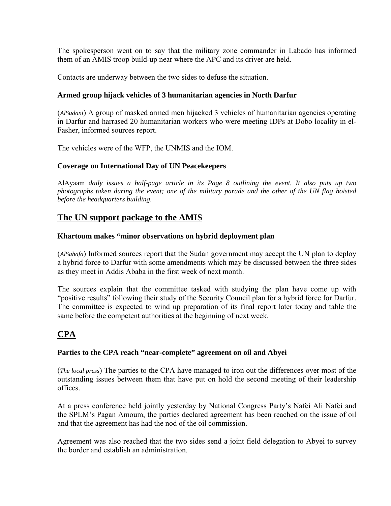The spokesperson went on to say that the military zone commander in Labado has informed them of an AMIS troop build-up near where the APC and its driver are held.

Contacts are underway between the two sides to defuse the situation.

#### **Armed group hijack vehicles of 3 humanitarian agencies in North Darfur**

(*AlSudani*) A group of masked armed men hijacked 3 vehicles of humanitarian agencies operating in Darfur and harrased 20 humanitarian workers who were meeting IDPs at Dobo locality in el-Fasher, informed sources report.

The vehicles were of the WFP, the UNMIS and the IOM.

### **Coverage on International Day of UN Peacekeepers**

AlAyaam *daily issues a half-page article in its Page 8 outlining the event. It also puts up two photographs taken during the event; one of the military parade and the other of the UN flag hoisted before the headquarters building.* 

# **The UN support package to the AMIS**

#### **Khartoum makes "minor observations on hybrid deployment plan**

(*AlSahafa*) Informed sources report that the Sudan government may accept the UN plan to deploy a hybrid force to Darfur with some amendments which may be discussed between the three sides as they meet in Addis Ababa in the first week of next month.

The sources explain that the committee tasked with studying the plan have come up with "positive results" following their study of the Security Council plan for a hybrid force for Darfur. The committee is expected to wind up preparation of its final report later today and table the same before the competent authorities at the beginning of next week.

# **CPA**

#### **Parties to the CPA reach "near-complete" agreement on oil and Abyei**

(*The local press*) The parties to the CPA have managed to iron out the differences over most of the outstanding issues between them that have put on hold the second meeting of their leadership offices.

At a press conference held jointly yesterday by National Congress Party's Nafei Ali Nafei and the SPLM's Pagan Amoum, the parties declared agreement has been reached on the issue of oil and that the agreement has had the nod of the oil commission.

Agreement was also reached that the two sides send a joint field delegation to Abyei to survey the border and establish an administration.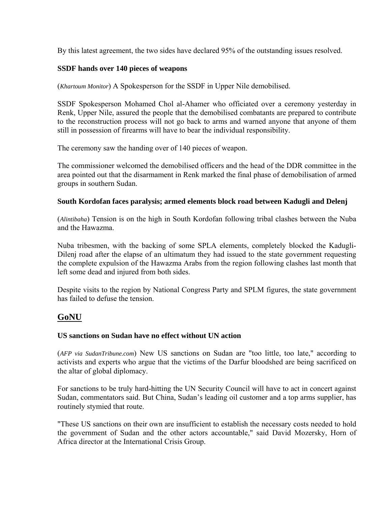By this latest agreement, the two sides have declared 95% of the outstanding issues resolved.

#### **SSDF hands over 140 pieces of weapons**

(*Khartoum Monitor*) A Spokesperson for the SSDF in Upper Nile demobilised.

SSDF Spokesperson Mohamed Chol al-Ahamer who officiated over a ceremony yesterday in Renk, Upper Nile, assured the people that the demobilised combatants are prepared to contribute to the reconstruction process will not go back to arms and warned anyone that anyone of them still in possession of firearms will have to bear the individual responsibility.

The ceremony saw the handing over of 140 pieces of weapon.

The commissioner welcomed the demobilised officers and the head of the DDR committee in the area pointed out that the disarmament in Renk marked the final phase of demobilisation of armed groups in southern Sudan.

#### **South Kordofan faces paralysis; armed elements block road between Kadugli and Delenj**

(*Alintibaha*) Tension is on the high in South Kordofan following tribal clashes between the Nuba and the Hawazma.

Nuba tribesmen, with the backing of some SPLA elements, completely blocked the Kadugli-Dilenj road after the elapse of an ultimatum they had issued to the state government requesting the complete expulsion of the Hawazma Arabs from the region following clashes last month that left some dead and injured from both sides.

Despite visits to the region by National Congress Party and SPLM figures, the state government has failed to defuse the tension.

# **GoNU**

#### **US sanctions on Sudan have no effect without UN action**

(*AFP via SudanTribune.com*) New US sanctions on Sudan are "too little, too late," according to activists and experts who argue that the victims of the Darfur bloodshed are being sacrificed on the altar of global diplomacy.

For sanctions to be truly hard-hitting the UN Security Council will have to act in concert against Sudan, commentators said. But China, Sudan's leading oil customer and a top arms supplier, has routinely stymied that route.

"These US sanctions on their own are insufficient to establish the necessary costs needed to hold the government of Sudan and the other actors accountable," said David Mozersky, Horn of Africa director at the International Crisis Group.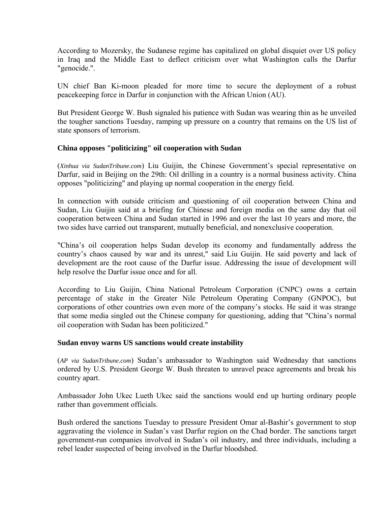According to Mozersky, the Sudanese regime has capitalized on global disquiet over US policy in Iraq and the Middle East to deflect criticism over what Washington calls the Darfur "genocide.".

UN chief Ban Ki-moon pleaded for more time to secure the deployment of a robust peacekeeping force in Darfur in conjunction with the African Union (AU).

But President George W. Bush signaled his patience with Sudan was wearing thin as he unveiled the tougher sanctions Tuesday, ramping up pressure on a country that remains on the US list of state sponsors of terrorism.

#### **China opposes "politicizing" oil cooperation with Sudan**

(*Xinhua via SudanTribune.com*) Liu Guijin, the Chinese Government's special representative on Darfur, said in Beijing on the 29th: Oil drilling in a country is a normal business activity. China opposes "politicizing" and playing up normal cooperation in the energy field.

In connection with outside criticism and questioning of oil cooperation between China and Sudan, Liu Guijin said at a briefing for Chinese and foreign media on the same day that oil cooperation between China and Sudan started in 1996 and over the last 10 years and more, the two sides have carried out transparent, mutually beneficial, and nonexclusive cooperation.

"China's oil cooperation helps Sudan develop its economy and fundamentally address the country's chaos caused by war and its unrest," said Liu Guijin. He said poverty and lack of development are the root cause of the Darfur issue. Addressing the issue of development will help resolve the Darfur issue once and for all.

According to Liu Guijin, China National Petroleum Corporation (CNPC) owns a certain percentage of stake in the Greater Nile Petroleum Operating Company (GNPOC), but corporations of other countries own even more of the company's stocks. He said it was strange that some media singled out the Chinese company for questioning, adding that "China's normal oil cooperation with Sudan has been politicized."

#### **Sudan envoy warns US sanctions would create instability**

(*AP via SudanTribune.com*) Sudan's ambassador to Washington said Wednesday that sanctions ordered by U.S. President George W. Bush threaten to unravel peace agreements and break his country apart.

Ambassador John Ukec Lueth Ukec said the sanctions would end up hurting ordinary people rather than government officials.

Bush ordered the sanctions Tuesday to pressure President Omar al-Bashir's government to stop aggravating the violence in Sudan's vast Darfur region on the Chad border. The sanctions target government-run companies involved in Sudan's oil industry, and three individuals, including a rebel leader suspected of being involved in the Darfur bloodshed.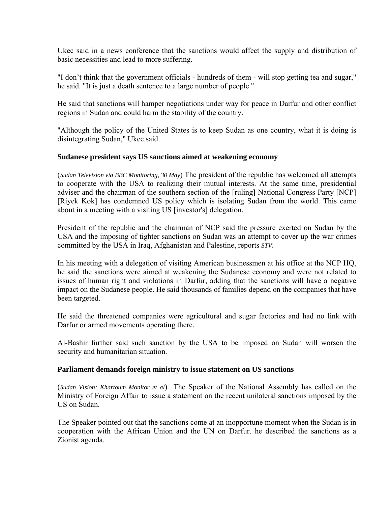Ukec said in a news conference that the sanctions would affect the supply and distribution of basic necessities and lead to more suffering.

"I don't think that the government officials - hundreds of them - will stop getting tea and sugar," he said. "It is just a death sentence to a large number of people."

He said that sanctions will hamper negotiations under way for peace in Darfur and other conflict regions in Sudan and could harm the stability of the country.

"Although the policy of the United States is to keep Sudan as one country, what it is doing is disintegrating Sudan," Ukec said.

#### **Sudanese president says US sanctions aimed at weakening economy**

(*Sudan Television via BBC Monitoring, 30 May*) The president of the republic has welcomed all attempts to cooperate with the USA to realizing their mutual interests. At the same time, presidential adviser and the chairman of the southern section of the [ruling] National Congress Party [NCP] [Riyek Kok] has condemned US policy which is isolating Sudan from the world. This came about in a meeting with a visiting US [investor's] delegation.

President of the republic and the chairman of NCP said the pressure exerted on Sudan by the USA and the imposing of tighter sanctions on Sudan was an attempt to cover up the war crimes committed by the USA in Iraq, Afghanistan and Palestine, reports *STV*.

In his meeting with a delegation of visiting American businessmen at his office at the NCP HQ, he said the sanctions were aimed at weakening the Sudanese economy and were not related to issues of human right and violations in Darfur, adding that the sanctions will have a negative impact on the Sudanese people. He said thousands of families depend on the companies that have been targeted.

He said the threatened companies were agricultural and sugar factories and had no link with Darfur or armed movements operating there.

Al-Bashir further said such sanction by the USA to be imposed on Sudan will worsen the security and humanitarian situation.

#### **Parliament demands foreign ministry to issue statement on US sanctions**

(*Sudan Vision; Khartoum Monitor et al*) The Speaker of the National Assembly has called on the Ministry of Foreign Affair to issue a statement on the recent unilateral sanctions imposed by the US on Sudan.

The Speaker pointed out that the sanctions come at an inopportune moment when the Sudan is in cooperation with the African Union and the UN on Darfur. he described the sanctions as a Zionist agenda.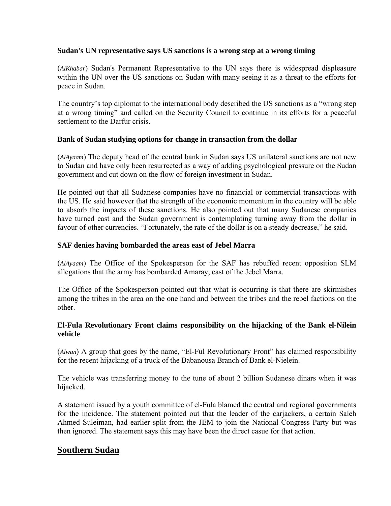#### **Sudan's UN representative says US sanctions is a wrong step at a wrong timing**

(*AlKhabar*) Sudan's Permanent Representative to the UN says there is widespread displeasure within the UN over the US sanctions on Sudan with many seeing it as a threat to the efforts for peace in Sudan.

The country's top diplomat to the international body described the US sanctions as a "wrong step at a wrong timing" and called on the Security Council to continue in its efforts for a peaceful settlement to the Darfur crisis.

#### **Bank of Sudan studying options for change in transaction from the dollar**

(*AlAyaam*) The deputy head of the central bank in Sudan says US unilateral sanctions are not new to Sudan and have only been resurrected as a way of adding psychological pressure on the Sudan government and cut down on the flow of foreign investment in Sudan.

He pointed out that all Sudanese companies have no financial or commercial transactions with the US. He said however that the strength of the economic momentum in the country will be able to absorb the impacts of these sanctions. He also pointed out that many Sudanese companies have turned east and the Sudan government is contemplating turning away from the dollar in favour of other currencies. "Fortunately, the rate of the dollar is on a steady decrease," he said.

#### **SAF denies having bombarded the areas east of Jebel Marra**

(*AlAyaam*) The Office of the Spokesperson for the SAF has rebuffed recent opposition SLM allegations that the army has bombarded Amaray, east of the Jebel Marra.

The Office of the Spokesperson pointed out that what is occurring is that there are skirmishes among the tribes in the area on the one hand and between the tribes and the rebel factions on the other.

#### **El-Fula Revolutionary Front claims responsibility on the hijacking of the Bank el-Nilein vehicle**

(*Alwan*) A group that goes by the name, "El-Ful Revolutionary Front" has claimed responsibility for the recent hijacking of a truck of the Babanousa Branch of Bank el-Nielein.

The vehicle was transferring money to the tune of about 2 billion Sudanese dinars when it was hijacked.

A statement issued by a youth committee of el-Fula blamed the central and regional governments for the incidence. The statement pointed out that the leader of the carjackers, a certain Saleh Ahmed Suleiman, had earlier split from the JEM to join the National Congress Party but was then ignored. The statement says this may have been the direct casue for that action.

# **Southern Sudan**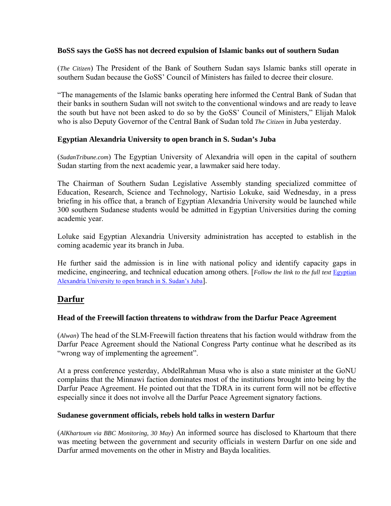#### **BoSS says the GoSS has not decreed expulsion of Islamic banks out of southern Sudan**

(*The Citizen*) The President of the Bank of Southern Sudan says Islamic banks still operate in southern Sudan because the GoSS' Council of Ministers has failed to decree their closure.

"The managements of the Islamic banks operating here informed the Central Bank of Sudan that their banks in southern Sudan will not switch to the conventional windows and are ready to leave the south but have not been asked to do so by the GoSS' Council of Ministers," Elijah Malok who is also Deputy Governor of the Central Bank of Sudan told *The Citizen* in Juba yesterday.

#### **Egyptian Alexandria University to open branch in S. Sudan's Juba**

(*SudanTribune.com*) The Egyptian University of Alexandria will open in the capital of southern Sudan starting from the next academic year, a lawmaker said here today.

The Chairman of Southern Sudan Legislative Assembly standing specialized committee of Education, Research, Science and Technology, Nartisio Lokuke, said Wednesday, in a press briefing in his office that, a branch of Egyptian Alexandria University would be launched while 300 southern Sudanese students would be admitted in Egyptian Universities during the coming academic year.

Loluke said Egyptian Alexandria University administration has accepted to establish in the coming academic year its branch in Juba.

He further said the admission is in line with national policy and identify capacity gaps in medicine, engineering, and technical education among others. [*Follow the link to the full text* [Egyptian](http://www.sudantribune.com/spip.php?article22138)  [Alexandria University to open branch in S. Sudan's Juba](http://www.sudantribune.com/spip.php?article22138)].

# **Darfur**

#### **Head of the Freewill faction threatens to withdraw from the Darfur Peace Agreement**

(*Alwan*) The head of the SLM-Freewill faction threatens that his faction would withdraw from the Darfur Peace Agreement should the National Congress Party continue what he described as its "wrong way of implementing the agreement".

At a press conference yesterday, AbdelRahman Musa who is also a state minister at the GoNU complains that the Minnawi faction dominates most of the institutions brought into being by the Darfur Peace Agreement. He pointed out that the TDRA in its current form will not be effective especially since it does not involve all the Darfur Peace Agreement signatory factions.

#### **Sudanese government officials, rebels hold talks in western Darfur**

(*AlKhartoum via BBC Monitoring, 30 May*) An informed source has disclosed to Khartoum that there was meeting between the government and security officials in western Darfur on one side and Darfur armed movements on the other in Mistry and Bayda localities.